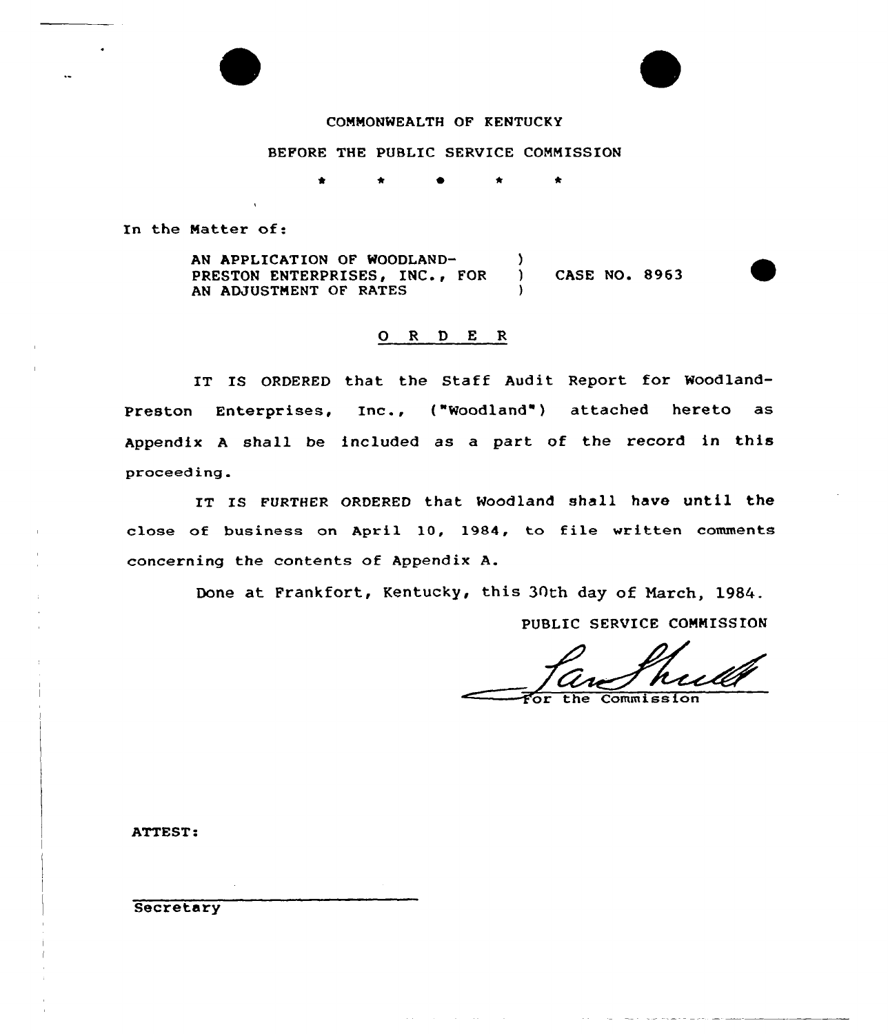# COMMONWEALTH OF KENTUCKY

### BEFORE THE PUBLIC SERVICE COMMISSION

\* \* \*  $\bullet$ 

In the Matter of:

AN APPLICATION OF WOODLAND-<br>
PRESTON ENTERPRISES. INC.. FOR ) PRESTON ENTERPRISES, INC., FOR ) CASE NO. 8963 AN ADJUSTMENT OF RATES

# 0 <sup>R</sup> <sup>D</sup> E R

IT IS ORDERED that the Staff Audit Report for Woodland-Preston Enterprises, Inc., ("Woodland') attached hereto as Appendix <sup>A</sup> shall be included as a part of the record in this proceeding.

IT IS FURTHER ORDERED that Woodland shall have until the close of business on April 10, 1984, to file written comments concerning the contents of Appendix A.

Done at Frankfort, Kentucky, this 30th day of March, 1984.

PUBLIC SERVICE COMMISSION

Commission

ATTEST:

**Secretary**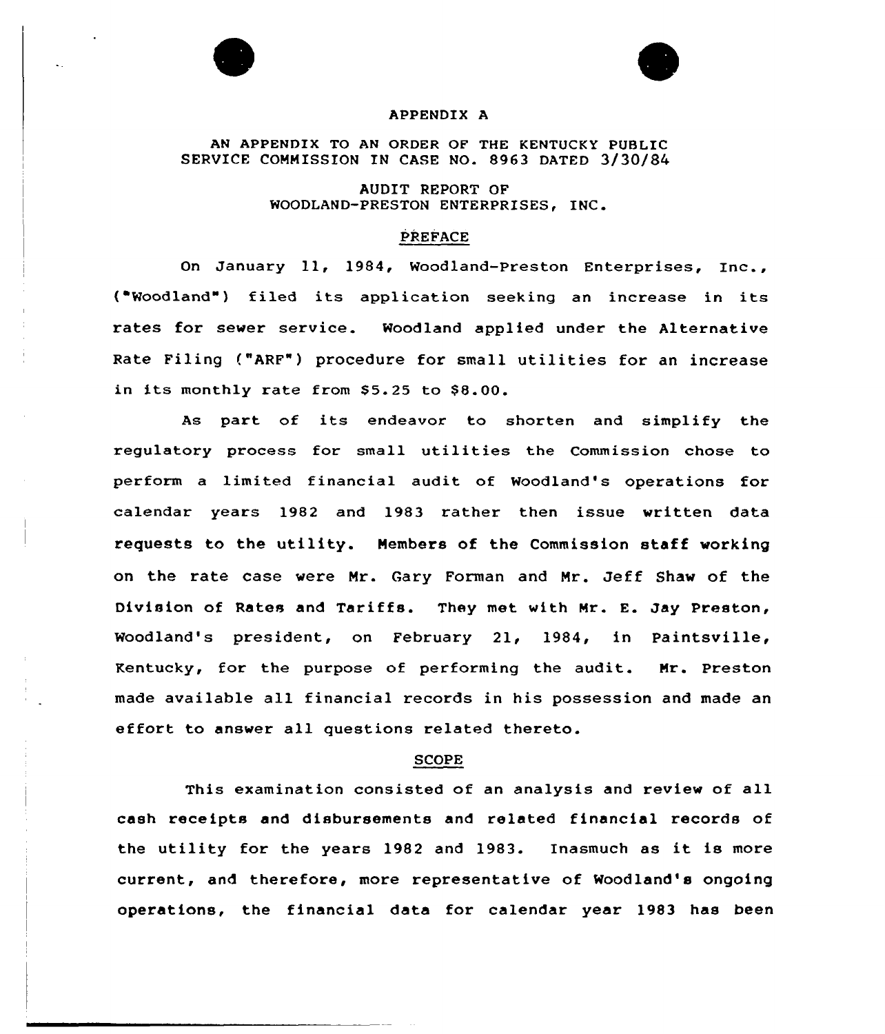



#### APPENDIX A

AN APPENDIX TO AN ORDER OF THE KENTUCKY PUBLIC SERVICE COMMISSION IN CASE NO. 8963 DATED 3/30/84

> AUDIT REPORT OF WOODLAND-PRESTON ENTERPRISES, INC

#### PREFACE

On January ll, 1984, Woodland-preston Enterprises, Inc., ( Woodland" ) filed its application seeking an increase in its rates for sewer service. Woodland applied under the Alternative Rate Filing ("ARF") procedure for small utilities for an increase in its monthly rate from  $$5.25$  to  $$8.00$ .

As part of its endeavor to shorten and simplify the regulatory process for small utilities the Commission chose to perform a limited financial audit of Woodland's operations for calendar years 1982 and 1983 rather then issue written data requests to the utility. Members of the Commission staff working on the rate case were Mr. Gary Forman and Mr. Jeff Shaw of the Division of Rates and Tariffs. They met with Mr. E. Jay Preston, Woodland's president, on February 21, 1984, in Paintsville, Kentucky, for the purpose of performing the audit. Mr. Preston made available all financial records in his possession and made an effort to answer all questions related thereto.

### SCOPE

This examination consisted of an analysis and review of all cash receipts and disbursements and related financial records of the utility for the years 1982 and 1983. Inasmuch as it is more current, and therefore, more representative of Woodland's ongoing operations, the financial data for calendar year 1983 has been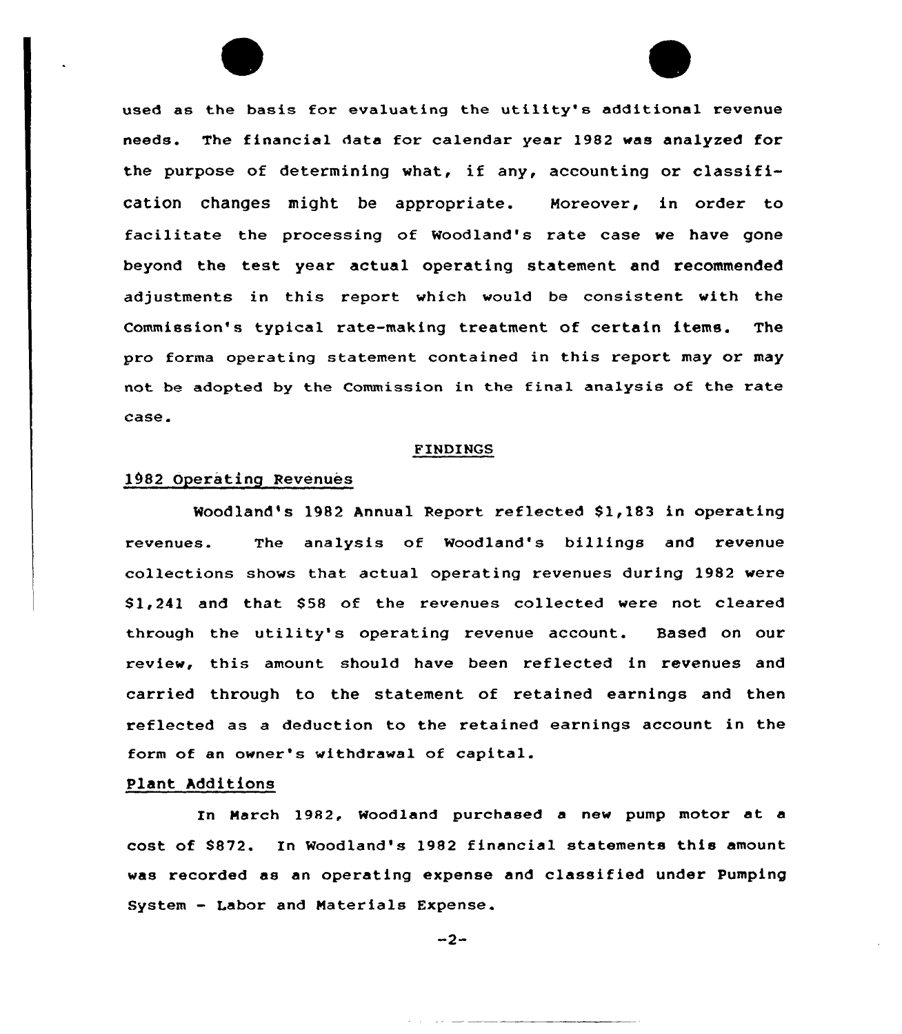used as the basis for evaluating the utility's additional revenue needs. The financial data for calendar year 1982 was analyzed for the purpose of determining what, if any, accounting or classification changes might be appropriate. Moreover, in order to facilitate the processing of Woodland's rate case we have gone beyond the test year actual operating statement and recommended adjustments in this report which would be consistent with the Commission's typical rate-making treatment of certain items. The pro forma operating statement contained in this report may or may not be adopted by the Commission in the final analysis of the rate case.

#### FINDINGS

# 1082 Operating Revenues

Woodland's 1982 Annual Report reflected 81,183 in operating revenues. The analysis of Woodland's billings and revenue collections shows that actual operating revenues during 1982 were \$1,241 and that \$58 of the revenues collected were not cleared through the utility's operating revenue account. Based on our review, this amount should have been reflected in revenues and carried through to the statement of retained earnings and then reflected as a deduction to the retained earnings account in the form of an owner's withdrawal of capital.

## Plant Additions

In March 1982, Woodland purchased <sup>a</sup> new pump motor at a cost of 8872. In Woodland's 1982 financial statements this amount was recorded as an operating expense and classified under Pumping System — Labor and Materials Expense.

 $-2-$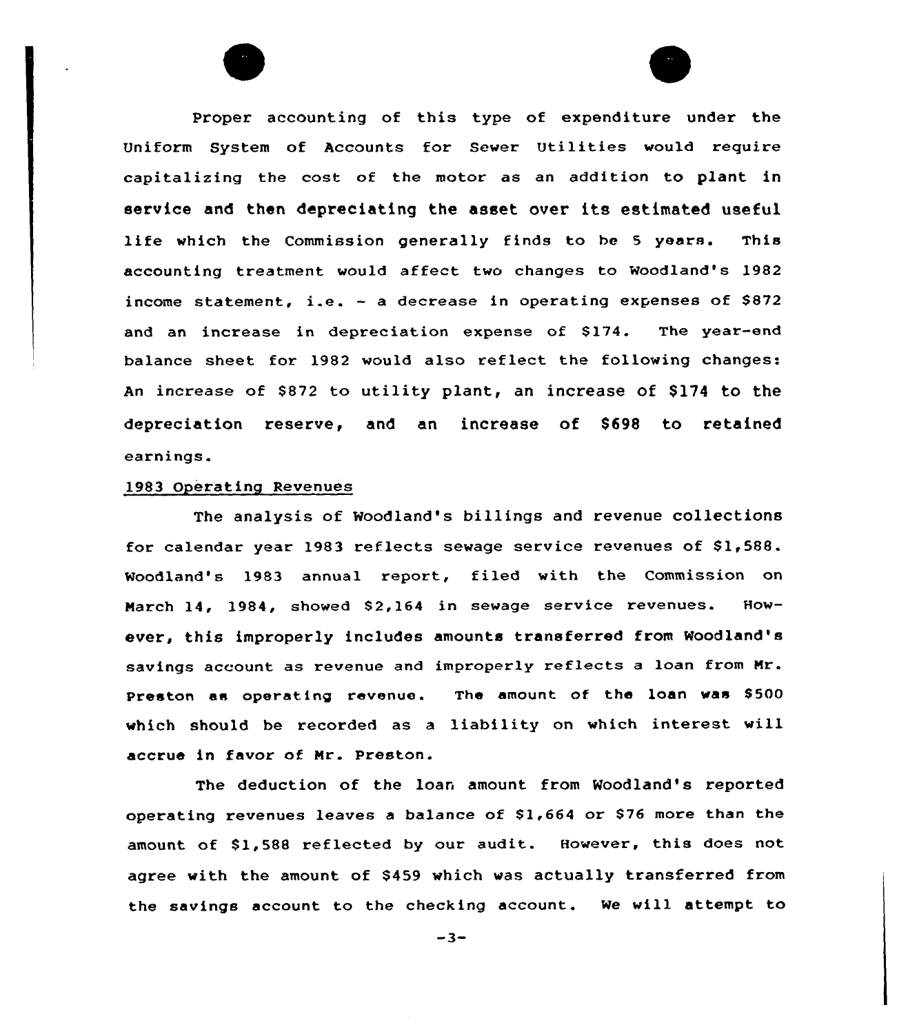Proper accounting of this type of expenditure under the Uniform System of Accounts for Sewer Utilities would require capitalizing the cost of the motor as an addition to plant in service and then depreciating the asset aver its estimated useful life which the Commission generally finds to be <sup>5</sup> years. This accounting treatment would affect two changes to Woodland's 1982 income statement, i.e. — <sup>a</sup> decrease in operating expenses of S872 and an increase in depreciation expense of \$174. The year-end balance sheet for 1982 would also reflect the following changes: An increase of \$872 to utility plant, an increase of \$174 to the depreciation reserve, and an increase of \$698 to retained earnings.

### 1983 Operating Revenues

The analysis of Woodland's billings and revenue collections for calendar year 1983 reflects sewage service revenues of \$1,588. Woodland's 1983 annual report, filed with the Commission on March 14, 1984, showed 82,164 in sewage service revenues. However, this improperly includes amounts transferred from Woodland's savings account as revenue and improperly reflects <sup>a</sup> loan from Mr. Preston as operating revenue. The amount of the loan was S500 which should be recorded as a liability on which interest will accrue in favor of Mr. Preston.

The deduction of the loan amount from Woodland's reported operating revenues leaves a balance of S1,664 or S76 more than the amount of S1,588 reflected by our audit. However, this does not agree with the amount of \$459 which was actually transferred from the savings account to the checking account. We will attempt to

 $-3-$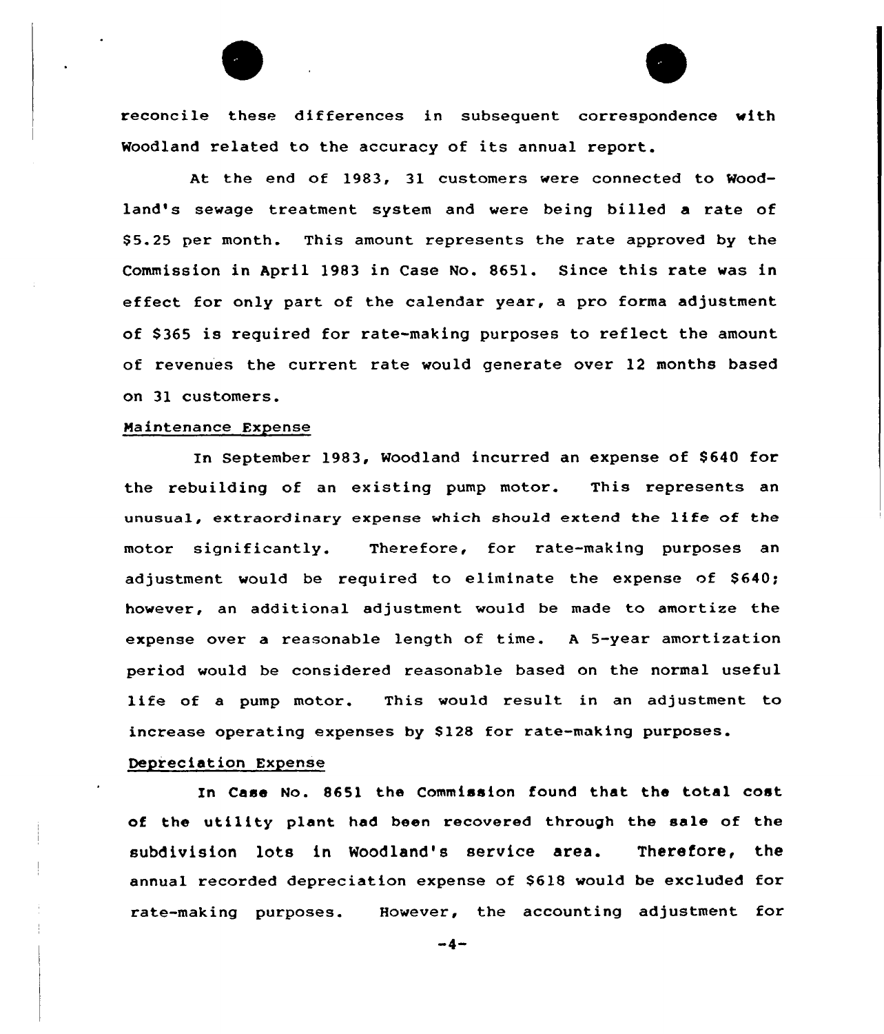

reconcile these differences in subsequent correspondence with Woodland related to the accuracy of its annual report.

At the end of 1983, 31 customers were connected to Woodland's sewage treatment system and vere being billed a rate of \$ 5.25 per month. This amount represents the rate approved by the Commission in April 1983 in Case No. 8651. Since this rate was in effect for only part of the calendar year, a pro forma adjustment of \$ 365 is required for rate-making purposes to reflect the amount of revenues the current rate would generate over 12 months based on 31 customers.

### Maintenance Expense

In September 1983, Woodland incurred an expense of \$640 for the rebuilding of an existing pump motor. This represents an unusual, extraordinary expense which should extend the life of the motor significantly. Therefore, for rate-making purposes an adjustment would be required to eliminate the expense of \$640; however, an additional adjustment would be made to amortize the expense over a reasonable length of time. <sup>A</sup> 5-year amortization period would be considered reasonable based on the normal useful life of a pump motor. This would result in an adjustment to increase operating expenses by S128 for rate-making purposes.

### Depreciation Expense

In Case No. 8651 the Commission found that the total cost of the utility plant had been recovered through the sale of the subdivision lots in Woodland's service area. Therefore, the annual recorded depreciation expense of 8618 would be excluded for rate-making purposes. However, the accounting adjustment for

 $-4-$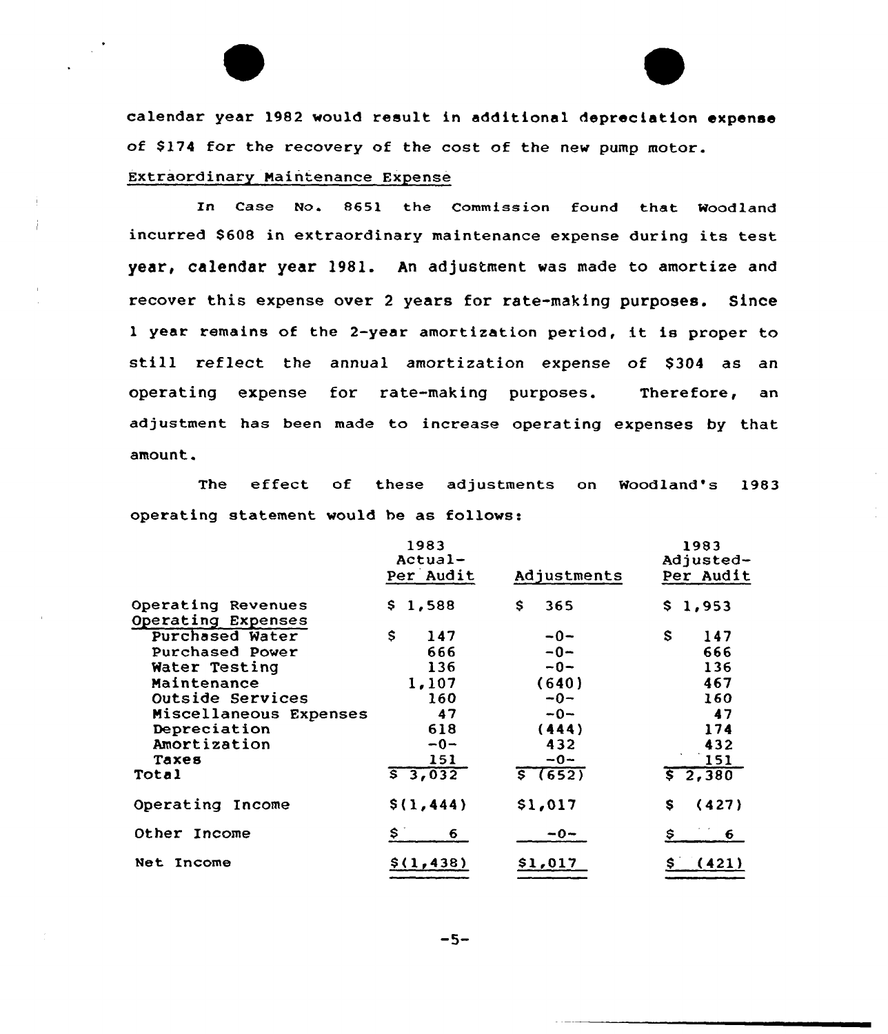calendar year 1982 would result in additional depreciation expense of S174 for the recovery of the cost of the new pump motor. Extraordinary Maintenance Expense

In Case No. 8651 the Commission found that Woodland incurred S608 in extraordinary maintenance expense during its test year, calendar year 1981. An adjustment was made to amortize and recover this expense over <sup>2</sup> years for rate-making purposes. Since <sup>1</sup> year remains of the 2-year amortization period, it is proper to still reflect the annual amortization expense of \$304 as an operating expense for rate-making purposes. Therefore, an adjustment has been made to increase operating expenses by that amount.

The effect of these adjustments on Woodland's 1983 operating statement would be as follows:

|                        | 1983<br>Actual-<br>Per Audit | Adjustments | 1983<br>Adjusted-<br>Per Audit |
|------------------------|------------------------------|-------------|--------------------------------|
| Operating Revenues     | 1,588<br>S.                  | S<br>365    | 1,953<br>S.                    |
| Operating Expenses     |                              |             |                                |
| Purchased Water        | \$<br>147                    | $-0-$       | S<br>147                       |
| Purchased Power        | 666                          | $-0-$       | 666                            |
| Water Testing          | 136                          | $-0-$       | 136                            |
| Maintenance            | 1,107                        | (640)       | 467                            |
| Outside Services       | 160                          | $-0-$       | 160                            |
| Miscellaneous Expenses | 47                           | $-0-$       | 47                             |
| Depreciation           | 618                          | (444)       | 174                            |
| Amortization           | $-0-$                        | 432         | 432                            |
| Taxes                  | 151                          | $-0-$       | 151                            |
| Total                  | 53,032                       | 5(652)      | 52,380                         |
| Operating Income       | \$(1, 444)                   | \$1,017     | (427)<br>s                     |
| Other Income           | S<br>6.                      | $-0-$       | \$<br>6                        |
| Income<br>Net          | \$(1, 438)                   | \$1,017     | (421)                          |

 $-5-$